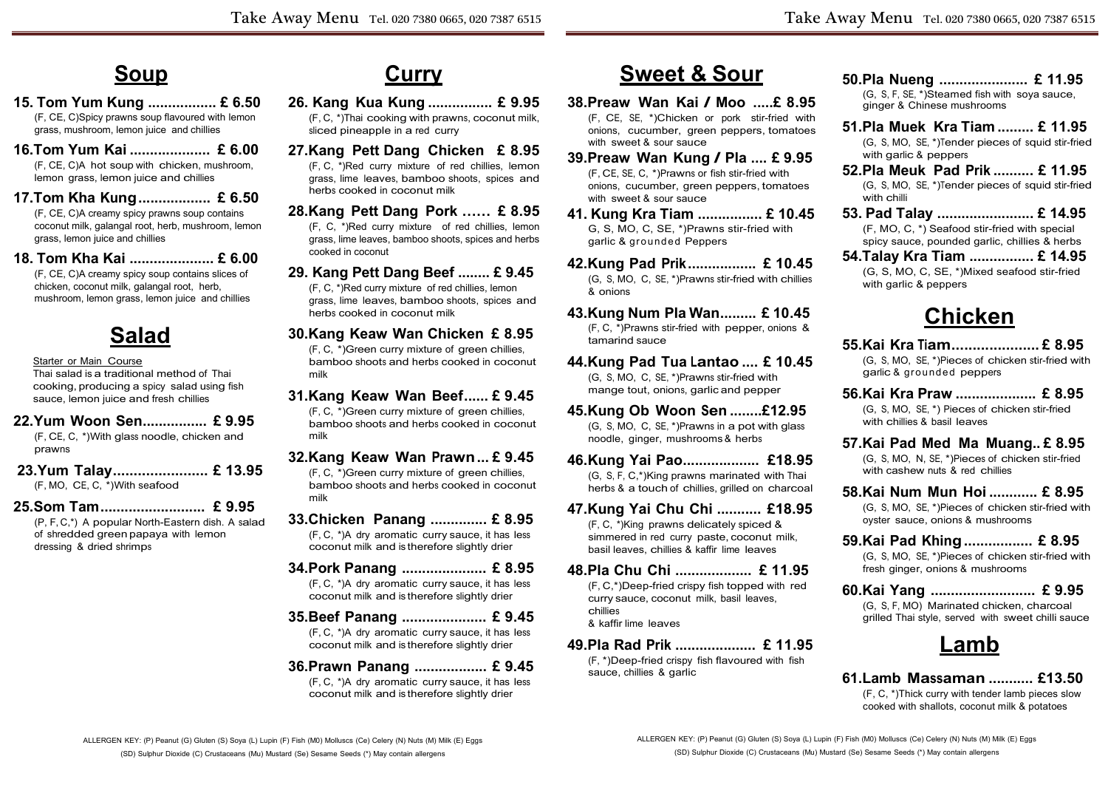## **Soup**

**15. Tom Yum Kung ................. £ 6.50** (F, CE, C)Spicy prawns soup flavoured with lemon

grass, mushroom, lemon juice and chillies

- **16.Tom Yum Kai .................... £ 6.00** (F, CE, C)A hot soup with chicken, mushroom, lemon grass, lemon juice and chillies
- **17.Tom Kha Kung.................. £ 6.50**

(F, CE, C)A creamy spicy prawns soup contains coconut milk, galangal root, herb, mushroom, lemon grass, lemon juice and chillies

**18. Tom Kha Kai ..................... £ 6.00** (F, CE, C)A creamy spicy soup contains slices of chicken, coconut milk, galangal root, herb, mushroom, lemon grass, lemon juice and chillies

# **Salad**

#### Starter or Main Course

Thai salad is a traditional method of Thai cooking, producing a spicy salad using fish sauce, lemon juice and fresh chillies

**22.Yum Woon Sen................ £ 9.95**

(F, CE, C, \*)With glass noodle, chicken and prawns

**23.Yum Talay....................... £ 13.95** (F, MO, CE, C, \*)With seafood

#### **25.Som Tam.......................... £ 9.95**

(P, F, C,\*) A popular North-Eastern dish. A salad of shredded green papaya with lemon dressing & dried shrimps

### **Curry**

- **26. Kang Kua Kung ................ £ 9.95** (F, C, \*)Thai cooking with prawns, coconut milk, sliced pineapple in a red curry
- **27.Kang Pett Dang Chicken £ 8.95**  (F, C, \*)Red curry mixture of red chillies, lemon grass, lime leaves, bamboo shoots, spices and herbs cooked in coconut milk
- **28.Kang Pett Dang Pork …… £ 8.95** (F, C, \*)Red curry mixture of red chillies, lemon grass, lime leaves, bamboo shoots, spices and herbs cooked in coconut
- **29. Kang Pett Dang Beef ........ £ 9.45** (F, C, \*)Red curry mixture of red chillies, lemon grass, lime leaves, bamboo shoots, spices and
- herbs cooked in coconut milk **30.Kang Keaw Wan Chicken £ 8.95**

(F, C, \*)Green curry mixture of green chillies, bamboo shoots and herbs cooked in coconut milk

- **31.Kang Keaw Wan Beef...... £ 9.45** (F, C, \*)Green curry mixture of green chillies, bamboo shoots and herbs cooked in coconut milk
- **32.Kang Keaw Wan Prawn... £ 9.45**
	- (F, C, \*)Green curry mixture of green chillies, bamboo shoots and herbs cooked in coconut milk
- **33.Chicken Panang .............. £ 8.95** (F, C, \*)A dry aromatic curry sauce, it has less coconut milk and is therefore slightly drier
- **34.Pork Panang ..................... £ 8.95** (F, C, \*)A dry aromatic curry sauce, it has less coconut milk and is therefore slightly drier
- **35.Beef Panang ..................... £ 9.45**
	- (F, C, \*)A dry aromatic curry sauce, it has less coconut milk and is therefore slightly drier

#### **36.Prawn Panang .................. £ 9.45**

(F, C, \*)A dry aromatic curry sauce, it has less coconut milk and is therefore slightly drier

## **Sweet & Sour**

- **38.Preaw Wan Kai / Moo .....£ 8.95**  (F, CE, SE, \*)Chicken or pork stir-fried with onions, cucumber, green peppers, tomatoes with sweet & sour sauce
- **39.Preaw Wan Kung / Pla .... £ 9.95**  (F, CE, SE, C, \*)Prawns or fish stir-fried with onions, cucumber, green peppers, tomatoes with sweet & sour sauce
- **41. Kung Kra Tiam ................ £ 10.45**  G, S, MO, C, SE, \*)Prawns stir-fried with garlic & grounded Peppers
- **42.Kung Pad Prik................. £ 10.45** (G, S, MO, C, SE, \*)Prawns stir-fried with chillies & onions
- **43.Kung Num Pla Wan......... £ 10.45** (F, C, \*)Prawns stir-fried with pepper, onions & tamarind sauce
- **44.Kung Pad Tua Lantao .... £ 10.45** (G, S, MO, C, SE, \*)Prawns stir-fried with mange tout, onions, garlic and pepper
- **45.Kung Ob Woon Sen ........£12.95** (G, S, MO, C, SE, \*)Prawns in a pot with glass noodle, ginger, mushrooms & herbs
- **46.Kung Yai Pao................... £18.95** (G, S, F, C,\*)King prawns marinated with Thai herbs & a touch of chillies, grilled on charcoal
- **47.Kung Yai Chu Chi ........... £18.95**  (F, C, \*)King prawns delicately spiced & simmered in red curry paste, coconut milk, basil leaves, chillies & kaffir lime leaves
- **48.Pla Chu Chi ................... £ 11.95**  (F, C,\*)Deep-fried crispy fish topped with red curry sauce, coconut milk, basil leaves, chillies & kaffir lime leaves
- **49.Pla Rad Prik .................... £ 11.95** (F, \*)Deep-fried crispy fish flavoured with fish sauce, chillies & garlic
- **50.Pla Nueng ...................... £ 11.95** (G, S, F, SE, \*)Steamed fish with soya sauce, ginger & Chinese mushrooms
- **51.Pla Muek Kra Tiam ......... £ 11.95** (G, S, MO, SE, \*)Tender pieces of squid stir-fried with garlic & peppers
- **52.Pla Meuk Pad Prik .......... £ 11.95** (G, S, MO, SE, \*)Tender pieces of squid stir-fried with chilli
- **53. Pad Talay ........................ £ 14.95** (F, MO, C, \*) Seafood stir-fried with special spicy sauce, pounded garlic, chillies & herbs
- **54.Talay Kra Tiam ................ £ 14.95** (G, S, MO, C, SE, \*)Mixed seafood stir-fried with garlic & peppers

## **Chicken**

- **55.Kai Kra Tiam..................... £ 8.95**  (G, S, MO, SE, \*)Pieces of chicken stir-fried with garlic & grounded peppers
- **56.Kai Kra Praw .................... £ 8.95** (G, S, MO, SE, \*) Pieces of chicken stir-fried with chillies & basil leaves
- **57.Kai Pad Med Ma Muang.. £ 8.95** (G, S, MO, N, SE, \*)Pieces of chicken stir-fried with cashew nuts & red chillies
- **58.Kai Num Mun Hoi ............ £ 8.95** (G, S, MO, SE, \*)Pieces of chicken stir-fried with oyster sauce, onions & mushrooms
- **59.Kai Pad Khing................. £ 8.95** (G, S, MO, SE, \*)Pieces of chicken stir-fried with fresh ginger, onions & mushrooms
- **60.Kai Yang .......................... £ 9.95** (G, S, F, MO) Marinated chicken, charcoal grilled Thai style, served with sweet chilli sauce

#### **Lamb**

**61.Lamb Massaman ........... £13.50**  (F, C, \*)Thick curry with tender lamb pieces slow cooked with shallots, coconut milk & potatoes